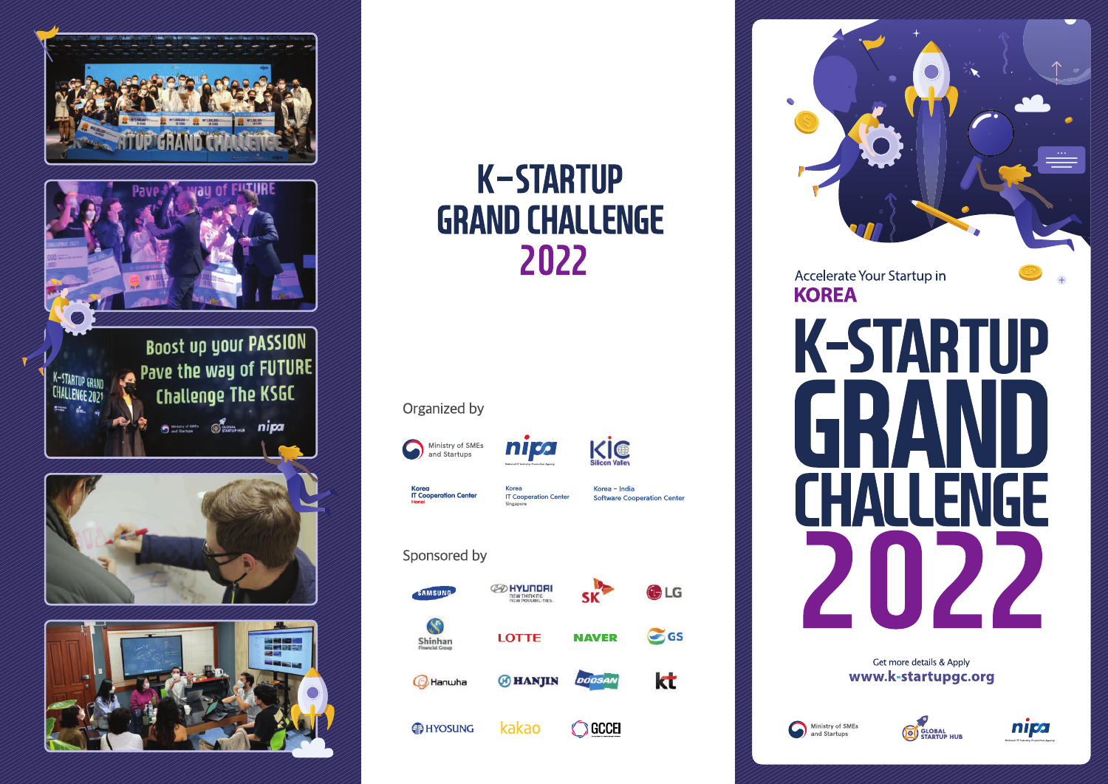

# **K-STARTUP GRAND CHALLENGE** 2022

## Organized by







Korea Korea<br>IT Cooperation Center **IT Cooperation Center** 

Korea - India **Software Cooperation Center** 

# Sponsored by





Get more details & Apply www.k-startupgc.org